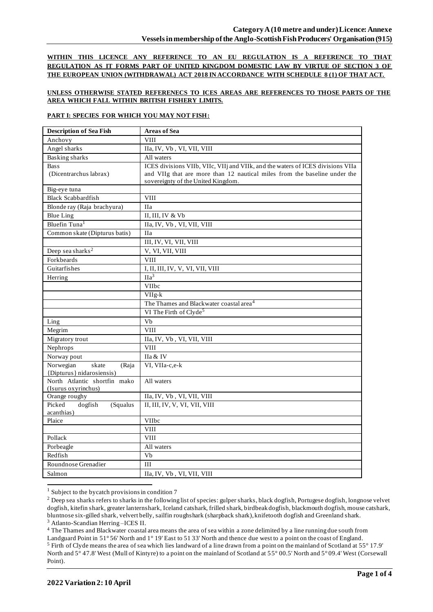**WITHIN THIS LICENCE ANY REFERENCE TO AN EU REGULATION IS A REFERENCE TO THAT REGULATION AS IT FORMS PART OF UNITED KINGDOM DOMESTIC LAW BY VIRTUE OF SECTION 3 OF THE EUROPEAN UNION (WITHDRAWAL) ACT 2018 IN ACCORDANCE WITH SCHEDULE 8 (1) OF THAT ACT.**

# **UNLESS OTHERWISE STATED REFERENECS TO ICES AREAS ARE REFERENCES TO THOSE PARTS OF THE AREA WHICH FALL WITHIN BRITISH FISHERY LIMITS.**

#### **PART I: SPECIES FOR WHICH YOU MAY NOT FISH:**

| <b>Description of Sea Fish</b>       | <b>Areas of Sea</b>                                                             |
|--------------------------------------|---------------------------------------------------------------------------------|
| Anchovy                              | <b>VIII</b>                                                                     |
| Angel sharks                         | IIa, IV, Vb, VI, VII, VIII                                                      |
| <b>Basking sharks</b>                | All waters                                                                      |
| <b>Bass</b>                          | ICES divisions VIIb, VIIc, VIIj and VIIk, and the waters of ICES divisions VIIa |
| (Dicentrarchus labrax)               | and VIIg that are more than 12 nautical miles from the baseline under the       |
|                                      | sovereignty of the United Kingdom.                                              |
| Big-eye tuna                         |                                                                                 |
| <b>Black Scabbardfish</b>            | <b>VIII</b>                                                                     |
| Blonde ray (Raja brachyura)          | <b>IIa</b>                                                                      |
| <b>Blue Ling</b>                     | II, III, IV & Vb                                                                |
| Bluefin Tuna <sup>1</sup>            | IIa, IV, Vb, VI, VII, VIII                                                      |
| Common skate (Dipturus batis)        | <b>IIa</b>                                                                      |
|                                      | III, IV, VI, VII, VIII                                                          |
| Deep sea sharks <sup>2</sup>         | V, VI, VII, VIII                                                                |
| Forkbeards                           | <b>VIII</b>                                                                     |
| Guitarfishes                         | I, II, III, IV, V, VI, VII, VIII                                                |
| Herring                              | IIa <sup>3</sup>                                                                |
|                                      | VIIbc                                                                           |
|                                      | $VIIg-k$                                                                        |
|                                      | The Thames and Blackwater coastal area <sup>4</sup>                             |
|                                      | VI The Firth of Clyde <sup>5</sup>                                              |
| Ling                                 | Vb                                                                              |
| Megrim                               | <b>VIII</b>                                                                     |
| Migratory trout                      | IIa, IV, Vb, VI, VII, VIII                                                      |
| Nephrops                             | <b>VIII</b>                                                                     |
| Norway pout                          | IIa & IV                                                                        |
| Norwegian<br>skate<br>(Raja          | VI, VIIa-c,e-k                                                                  |
| {Dipturus} nidarosiensis)            |                                                                                 |
| North Atlantic shortfin mako         | All waters                                                                      |
| (Isurus oxyrinchus)<br>Orange roughy | IIa, IV, Vb, VI, VII, VIII                                                      |
| Picked<br>dogfish<br>(Squalus        | II, III, IV, V, VI, VII, VIII                                                   |
| acanthias)                           |                                                                                 |
| Plaice                               | VIIbc                                                                           |
|                                      | <b>VIII</b>                                                                     |
| Pollack                              | <b>VIII</b>                                                                     |
| Porbeagle                            | All waters                                                                      |
| Redfish                              | $\overline{Vb}$                                                                 |
| Roundnose Grenadier                  | III                                                                             |
| Salmon                               | IIa, IV, Vb, VI, VII, VIII                                                      |
|                                      |                                                                                 |

<sup>&</sup>lt;sup>1</sup> Subject to the bycatch provisions in condition 7

<sup>4</sup> The Thames and Blackwater coastal area means the area of sea within a zone delimited by a line running due south from

<sup>&</sup>lt;sup>2</sup> Deep sea sharks refers to sharks in the following list of species: gulper sharks, black dogfish, Portugese dogfish, longnose velvet dogfish, kitefin shark, greater lanternshark, Iceland catshark, frilled shark, birdbeak dogfish, blackmouth dogfish, mouse catshark, bluntnose six-gilled shark, velvert belly, sailfin roughshark (sharpback shark), knifetooth dogfish and Greenland shark. <sup>3</sup> Atlanto-Scandian Herring –ICES II.

Landguard Point in 51° 56' North and 1° 19' East to 51 33' North and thence due west to a point on the coast of England. <sup>5</sup> Firth of Clyde means the area of sea which lies landward of a line drawn from a point on the mainland of Scotland at 55° 17.9' North and 5° 47.8' West (Mull of Kintyre) to a point on the mainland of Scotland at 55° 00.5' North and 5° 09.4' West (Corsewall Point).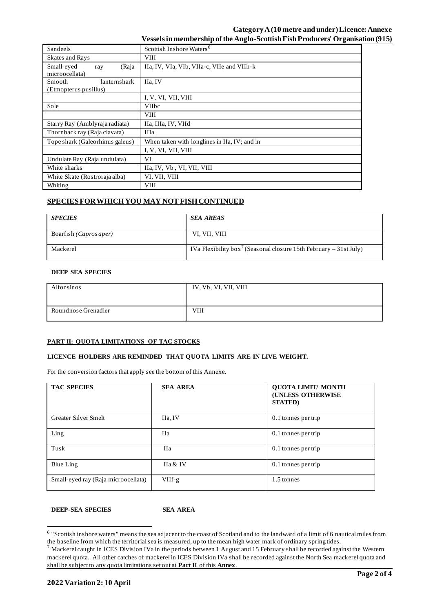# **Category A(10 metre and under) Licence: Annexe Vessels in membership of the Anglo-Scottish Fish Producers' Organisation (915)**

| Sandeels                                        | Scottish Inshore Waters <sup>6</sup>         |  |  |
|-------------------------------------------------|----------------------------------------------|--|--|
| <b>Skates and Rays</b>                          | <b>VIII</b>                                  |  |  |
| Small-eyed<br>(Raja<br>ray<br>microocellata)    | IIa, IV, VIa, VIb, VIIa-c, VIIe and VIIh-k   |  |  |
| lanternshark<br>Smooth<br>(Etmopterus pusillus) | IIa, IV                                      |  |  |
|                                                 | I, V, VI, VII, VIII                          |  |  |
| Sole                                            | <b>VIIbc</b>                                 |  |  |
|                                                 | <b>VIII</b>                                  |  |  |
| Starry Ray (Amblyraja radiata)                  | IIa, IIIa, IV, VIId                          |  |  |
| Thornback ray (Raja clavata)                    | <b>IIIa</b>                                  |  |  |
| Tope shark (Galeorhinus galeus)                 | When taken with longlines in IIa, IV; and in |  |  |
|                                                 | I, V, VI, VII, VIII                          |  |  |
| Undulate Ray (Raja undulata)                    | VI                                           |  |  |
| White sharks                                    | IIa, IV, Vb, VI, VII, VIII                   |  |  |
| White Skate (Rostroraja alba)                   | VI, VII, VIII                                |  |  |
| Whiting                                         | <b>VIII</b>                                  |  |  |

# **SPECIES FOR WHICH YOU MAY NOT FISH CONTINUED**

| <b>SPECIES</b>                  | <b>SEA AREAS</b>                                                              |
|---------------------------------|-------------------------------------------------------------------------------|
| Boarfish ( <i>Capros aper</i> ) | VI, VII, VIII                                                                 |
| Mackerel                        | IVa Flexibility box <sup>7</sup> (Seasonal closure 15th February – 31st July) |

#### **DEEP SEA SPECIES**

| Alfonsinos          | IV, Vb, VI, VII, VIII |
|---------------------|-----------------------|
| Roundnose Grenadier | VIII                  |

# **PART II: QUOTA LIMITATIONS OF TAC STOCKS**

### **LICENCE HOLDERS ARE REMINDED THAT QUOTA LIMITS ARE IN LIVE WEIGHT.**

For the conversion factors that apply see the bottom of this Annexe.

| <b>TAC SPECIES</b>                  | <b>SEA AREA</b> | <b>QUOTA LIMIT/ MONTH</b><br><b>(UNLESS OTHERWISE</b><br><b>STATED</b> ) |
|-------------------------------------|-----------------|--------------------------------------------------------------------------|
| Greater Silver Smelt                | IIa, IV         | 0.1 tonnes per trip                                                      |
| Ling                                | Ha              | $0.1$ tonnes per trip                                                    |
| Tusk                                | Ha              | 0.1 tonnes per trip                                                      |
| Blue Ling                           | IIa & IV        | $0.1$ tonnes per trip                                                    |
| Small-eyed ray (Raja microocellata) | $VIIf-g$        | 1.5 tonnes                                                               |

**DEEP-SEA SPECIES SEA AREA**

<sup>&</sup>lt;sup>6</sup> "Scottish inshore waters" means the sea adjacent to the coast of Scotland and to the landward of a limit of 6 nautical miles from the baseline from which the territorial sea is measured, up to the mean high water mark of ordinary spring tides.

 $^7$  Mackerel caught in ICES Division IVa in the periods between 1 August and 15 February shall be recorded against the Western mackerel quota. All other catches of mackerel in ICES Division IVa shall be recorded against the North Sea mackerel quota and shall be subject to any quota limitations set out at **Part II** of this **Annex**.